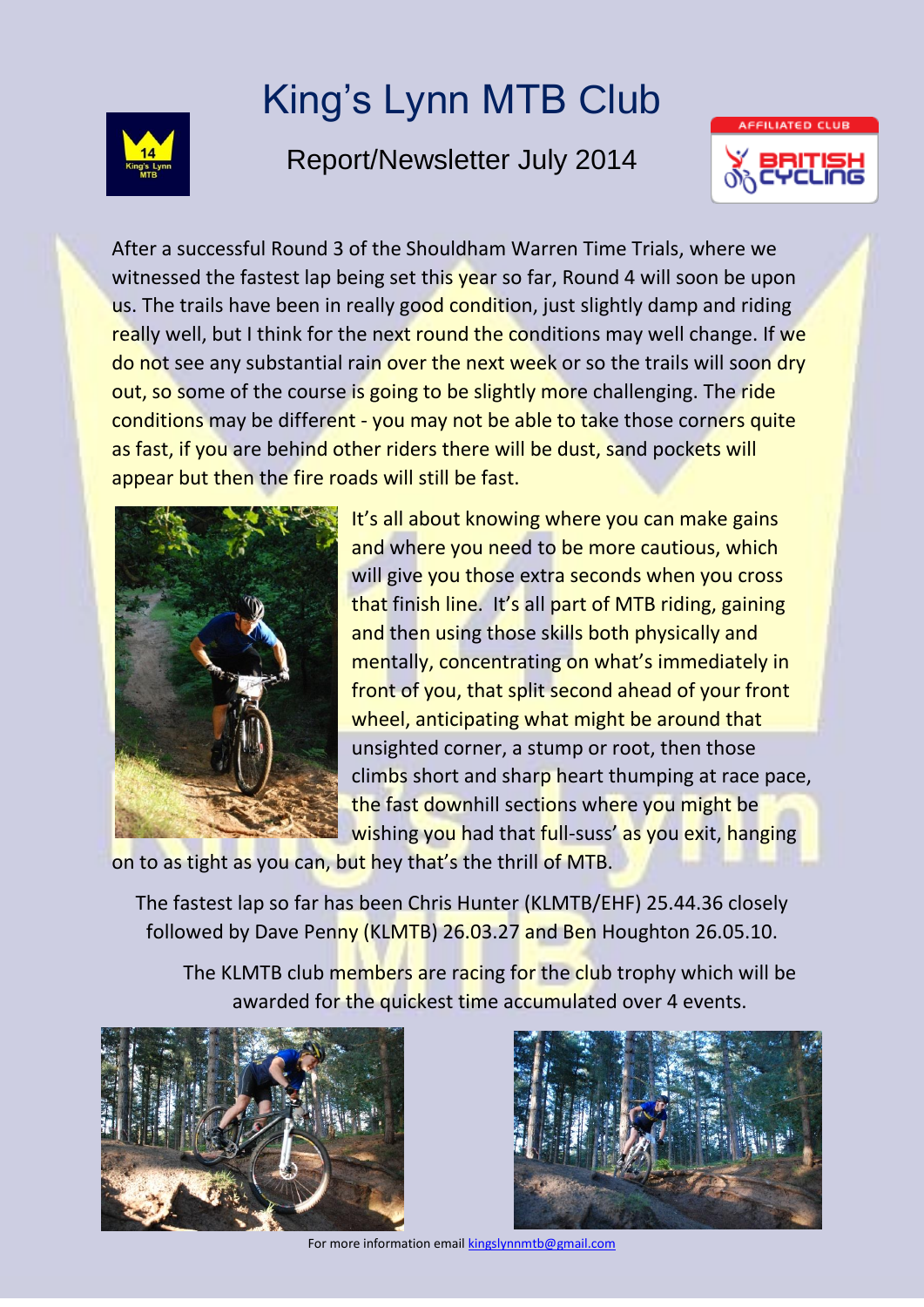

## King's Lynn MTB Club

## Report/Newsletter July 2014



After a successful Round 3 of the Shouldham Warren Time Trials, where we witnessed the fastest lap being set this year so far, Round 4 will soon be upon us. The trails have been in really good condition, just slightly damp and riding really well, but I think for the next round the conditions may well change. If we do not see any substantial rain over the next week or so the trails will soon dry out, so some of the course is going to be slightly more challenging. The ride conditions may be different - you may not be able to take those corners quite as fast, if you are behind other riders there will be dust, sand pockets will appear but then the fire roads will still be fast.



It's all about knowing where you can make gains and where you need to be more cautious, which will give you those extra seconds when you cross that finish line. It's all part of MTB riding, gaining and then using those skills both physically and mentally, concentrating on what's immediately in front of you, that split second ahead of your front wheel, anticipating what might be around that unsighted corner, a stump or root, then those climbs short and sharp heart thumping at race pace, the fast downhill sections where you might be wishing you had that full-suss' as you exit, hanging

on to as tight as you can, but hey that's the thrill of MTB.

The fastest lap so far has been Chris Hunter (KLMTB/EHF) 25.44.36 closely followed by Dave Penny (KLMTB) 26.03.27 and Ben Houghton 26.05.10.

The KLMTB club members are racing for the club trophy which will be awarded for the quickest time accumulated over 4 events.





For more information email kingslynnmtb@gmail.com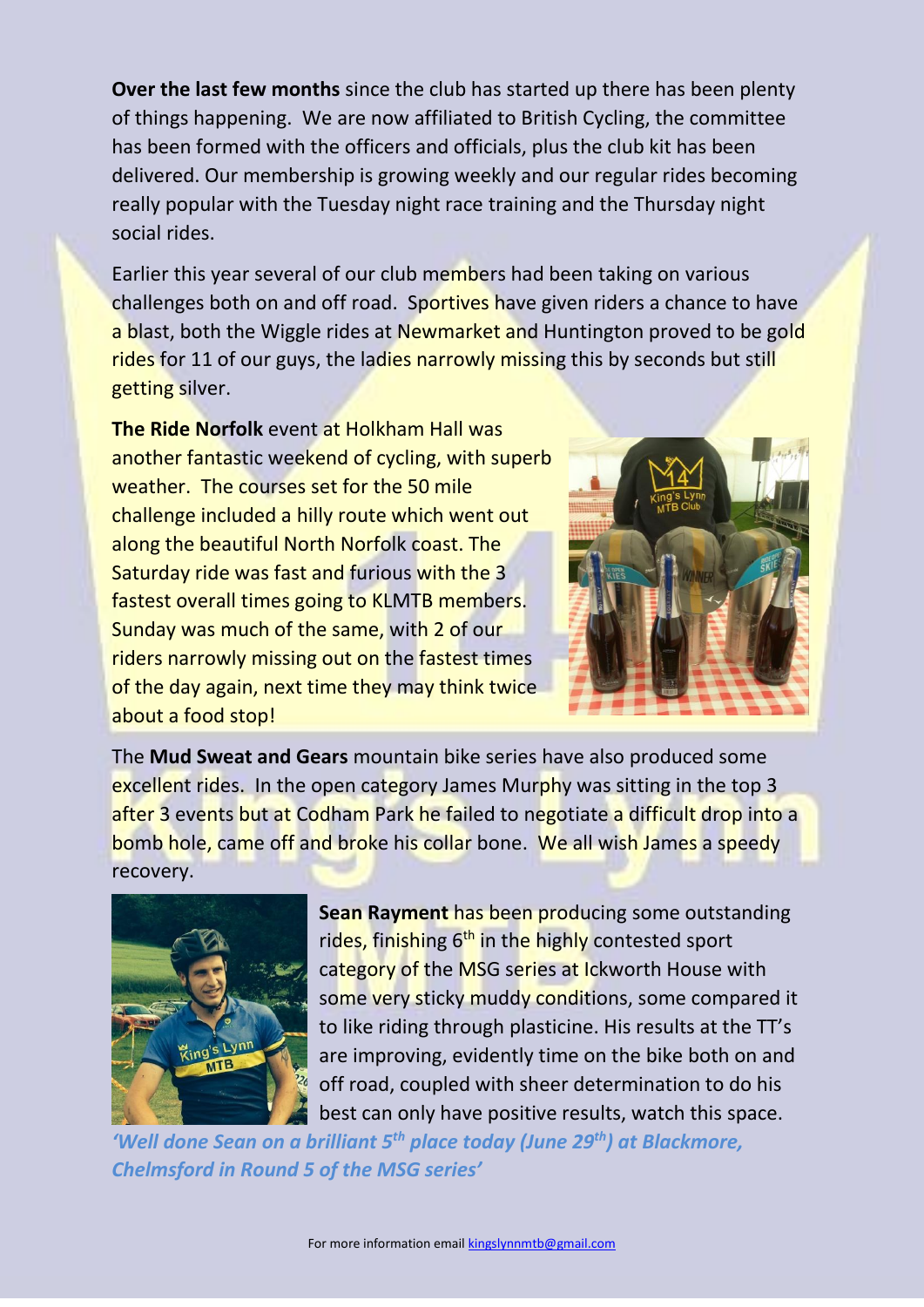**Over the last few months** since the club has started up there has been plenty of things happening. We are now affiliated to British Cycling, the committee has been formed with the officers and officials, plus the club kit has been delivered. Our membership is growing weekly and our regular rides becoming really popular with the Tuesday night race training and the Thursday night social rides.

Earlier this year several of our club members had been taking on various challenges both on and off road. Sportives have given riders a chance to have a blast, both the Wiggle rides at Newmarket and Huntington proved to be gold rides for 11 of our guys, the ladies narrowly missing this by seconds but still getting silver.

**The Ride Norfolk** event at Holkham Hall was another fantastic weekend of cycling, with superb weather. The courses set for the 50 mile challenge included a hilly route which went out along the beautiful North Norfolk coast. The Saturday ride was fast and furious with the 3 fastest overall times going to KLMTB members. Sunday was much of the same, with 2 of our riders narrowly missing out on the fastest times of the day again, next time they may think twice about a food stop!



The **Mud Sweat and Gears** mountain bike series have also produced some excellent rides. In the open category James Murphy was sitting in the top 3 after 3 events but at Codham Park he failed to negotiate a difficult drop into a bomb hole, came off and broke his collar bone. We all wish James a speedy recovery.



**Sean Rayment** has been producing some outstanding rides, finishing  $6<sup>th</sup>$  in the highly contested sport category of the MSG series at Ickworth House with some very sticky muddy conditions, some compared it to like riding through plasticine. His results at the TT's are improving, evidently time on the bike both on and off road, coupled with sheer determination to do his best can only have positive results, watch this space.

*'Well done Sean on a brilliant 5th place today (June 29th) at Blackmore, Chelmsford in Round 5 of the MSG series'*